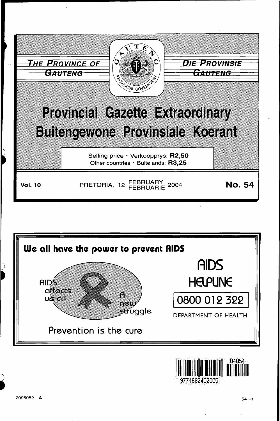



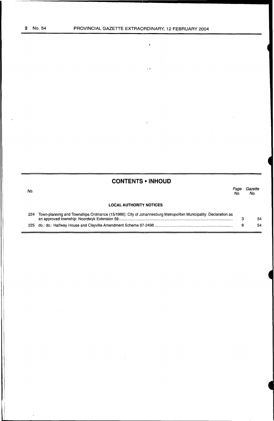No.

 $\bar{\mathbf{t}}$ 

 $\bar{\mathcal{L}}$ 

 $\mathcal{L}_{\mathcal{A}}$ 

### **CONTENTS • INHOUD**

### **LOCAL AUTHORITY NOTICES**  Page Gazette<br>No. No. No. No.

| 224 Town-planning and Townships Ordinance (15/1986): City of Johannesburg Metropolitan Municipality: Declaration as |    |
|---------------------------------------------------------------------------------------------------------------------|----|
|                                                                                                                     | 54 |
|                                                                                                                     | 54 |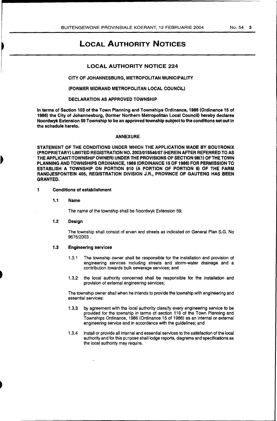### LOCAL AUTHORITY NOTICES

#### LOCAL AUTHORITY NOTICE 224

#### CITY OF JOHANNESBURG, METROPOLITAN MUNICIPALITY

#### (FORMER MIDRAND METROPOLITAN LOCAL COUNCIL)

#### DECLARATION AS APPROVED TOWNSHIP

In terms of Section 103 of the Town Planning and Townships Ordinance, 1986 (Ordinance 15 of 1986) the City of Johannesburg, (former Northern Metropolitan Local Council) hereby declares Noordwyk Extension 59 Township to be an approved township subject to the conditions set out in the schedule hereto.

#### ANNEXURE

STATEMENT OF THE CONDITIONS UNDER WHICH THE APPLICATION MADE BY BOUTRONIX (PROPRIETARY) LIMITED REGISTRATION NO. 2003/015546/07 (HEREIN AFTER REFERRED TO AS THE APPLICANT/TOWNSHIP OWNER) UNDER THE PROVISIONS OF SECTION 98(1) OF THE TOWN PLANNING AND TOWNSHIPS ORDINANCE, 1986 (ORDINANCE 15 OF 1986) FOR PERMISSION TO ESTABLISH A TOWNSHIP ON PORTION 910 (A PORTION OF PORTION 9) OF THE FARM RANDJESFONTEIN 405, REGISTRATION DIVISION J.R., PROVINCE OF GAUTENG HAS BEEN GRANTED.

#### 1 Conditions of establishment

1.1 Name

The name of the township shall be Noordwyk Extension 59.

1.2 Design

The township shall consist of erven and streets as indicated on General Plan S.G. No 9675/2003.

#### 1.3 Engineering services

- 1.3.1 The township owner shall be responsible for the installation and provision of engineering services including streets and storm-water drainage and a contribution towards bulk sewerage services; and
- 1.3.2 the local authority concerned shalf be responsible for the installation and provision of external engineering services;

The township owner shall when he intends to provide the township with engineering and essential services:

- 1.3.3 by agreement with the local authority classify every engineering service to be provided for the township in terms of section 116 of the Town Planning and Townships Ordinance, 1986 (Ordinance 15 of 1986) as an internal or external engineering service and in accordance with the guidelines; and
- 1.3.4 install or provide all internal and essential services to the satisfaction of the local authority and for this purpose shall lodge reports, diagrams and specifications as the local authority may require.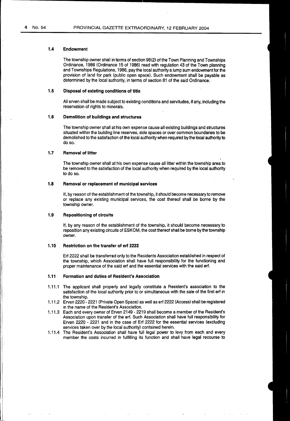#### **1.4 Endowment**

The township owner shall in terms of section 98(2) of the Town Planning and Townships Ordinance, 1986 (Ordinance 15 of 1986) read with regulation 43 of the Town planning and Townships Regulations, 1986, pay the local authority a lump sum endowment for the provision of land for park (public open space). Such endowment shall be payable as determined by the local authority, in terms of section 81 of the said Ordinance.

#### **1.5 Disposal of existing conditions of title**

All erven shall be made subject to existing conditions and servitudes, if any, including the reservation of rights to minerals.

#### **1.6 Demolition of buildings and structures**

The township owner shall at his own expense cause all existing buildings and structures situated within the building line reserves, side spaces or over common boundaries to be demolished to the satisfaction of the local authority when required by the local authority to do so.

#### **1.7** Removal of litter

The township owner shall at his own expense cause all litter within the township area to be removed to the satisfaction of the local authority when required by the local authority to do so.

#### **1.8** Removal or replacement of municipal services

If, by reason of the establishment of the township, it should become necessary to remove or replace any existing municipal services, the cost thereof shall be borne by the township owner.

#### **1.9 Repositioning of circuits**

If, by any reason of the establishment of the township, it should become necessary to reposition any existing circuits of ESKOM, the cost thereof shall be borne by the township owner.

#### **1.10 Restriction on the transfer of erf 2222**

Erf 2222 shall be transferred only to the Residents Association established in respect of the township, which Association shall have full responsibility for the functioning and proper maintenance of the said erf and the essential services with the said erf.

#### **1.11 Formation and duties of Resident's Association**

- 1.11.1 The applicant shall properly and legally constitute a Resident's association to the satisfaction of the local authority prior to or simultaneous with the sale of the first erf in the township.
- 1.11.2 Erven 2220- 2221 (Private Open Space) as well as erf 2222 (Access) shall be registered in the name of the Resident's Association.
- 1.11.3 Each and every owner of Erven 2149 2219 shall become a member of the Resident's Association upon transfer of the erf. Such Association shall have full responsibility for Erven 2220 - 2221 and in the case of Erf 2222 for the essential services (excluding services taken over by the local authority) contained herein.
- 1.11.4 The Resident's Association shall have full legal power to levy from each and every member the costs incurred in fulfilling its function and shall have legal recourse to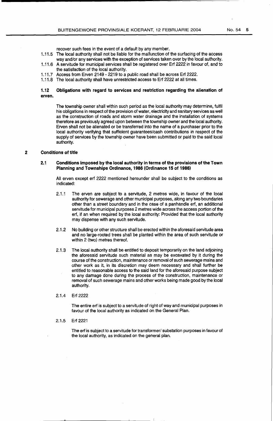- 1.11.5 The local authority shall not be liable for the malfunction of the surfacing of the access way and/or any services with the exception of services taken over by the local authority.
- 1.11.6 A servitude for municipal services shall be registered over Erf 2222 in favour of, and to the satisfaction of the focal authority.
- 1.11. 7 Access from Erven 2149 2219 to a public road shall be across Erf 2222.
- 1.11.8 The local authority shall have unrestricted access to Erf 2222 at all times.

#### **1.12 Obligations with regard to services and restriction regarding the alienation of erven.**

The township owner shall within such period as the local authority may determine, fulfil his obligations in respect of the provision of water, electricity and sanitary services as well as the construction of roads and storm water drainage and the installation of systems therefore as previously agreed upon between the township owner and the local authority. Erven shall not be alienated or be transferred into the name of a purchaser prior to the local authority verifying that sufficient guarantees/cash contributions in respect of the supply of services by the township owner have been submitted or paid to the said local authority.

#### **2 Conditions of title**

#### **2.1 Conditions imposed by the local authority in terms of the provisions of the Town Planning and Townships Ordinance, 1986 (Ordinance 15 of 1986)**

All erven except erf 2222 mentioned hereunder shall be subject to the conditions as indicated:

- 2.1.1 The erven are subject to a servitude, 2 metres wide, in favour of the local authority for sewerage and other municipal purposes, along any two boundaries other than a street boundary and in the case of a panhandle erf, an additional servitude for municipal purposes 2 metres wide across the access portion of the erf, if an when required by the local authority: Provided that the local authority may dispense with any such servitude.
- 2.1.2 No building or other structure shall be erected within the aforesaid servitude area and no large-rooted trees shall be planted within the area of such servitude or within 2 (two) metres thereof.
- 2.1.3 The local authority shall be entitled to deposit temporarily on the land adjoining the aforesaid servitude such material as may be excavated by it during the course of the construction, maintenance or removal of such sewerage mains and other work as it, in its discretion may deem necessary and shall further be entitled to reasonable access to the said land for the aforesaid purpose subject to any damage done during the process of the construction, maintenance or removal of such sewerage mains and other works being made good by the local authority.

#### 2.1.4 Erf 2222

The entire erf is subject to a servitude of right of way and municipal purposes in favour of the local authority as indicated on the General Plan.

2.1.5 Erf 2221

The erf is subject to a servitude for transformer/ substation purposes in favour of the local authority, as indicated on the general plan.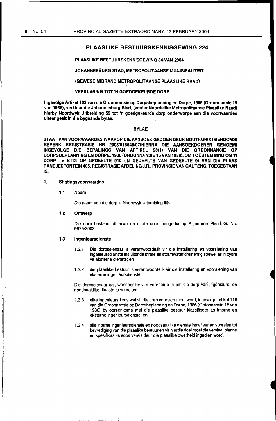#### PLAASLIKE BESTUURSKENNISGEWING 224

#### PLAASLIKE BESTUURSKENNISGEWING 84 VAN 2004

#### JOHANNESBURG STAD, METROPOLITAANSE MUNISIPALITEIT

#### (GEWESE MIDRAND METROPOLITAANSE PLAASLIKE RAAD)

#### VERKLARING TOT 'N GOEDGEKEURDE DORP

Ingevolge Artikel 103 van die Ordonnansie op Dorpsbeplanning en Dorpe, 1986 (Ordonnansie 15 van 1986), verklaar die Johannesburg Stad, (vroëer Noordelike Metropolitaanse Plaaslike Raad) hierby Noordwyk Uitbreiding 59 tot 'n goedgekeurde dorp onderworpe aan die voorwaardes uiteengesit in die bygaande bylae.

#### **BYLAE**

STAAT VAN VOORWAARDES WAAROP DIE AANSOEK GEDOEN DEUR BOUTRONIX (EIENDOMS) BEPERK REGISTRASIE NR 2003/015546/07(HIERNA DIE AANSOEKDOENER GENOEM) INGEVOLGE DIE BEPALINGS VAN ARTIKEL 98(1) VAN DIE ORDONNANSIE OP DORPSBEPLANNING EN DORPE,1986 (ORDONNANSIE 15 VAN 1986), OM TOESTEMMING OM 'N CORP TE STIG OP GEDEELTE 910 ('N GEDEELTE VAN GEDEELTE 9) VAN DIE PLAAS RANDJESFONTEIN 405, REGISTRASIE AFDELING J.R., PROVINSIE VAN GAUTENG, TOEGESTAAN IS.

#### 1. Stigtingsvoorwaardes

#### 1.1 Naam

Die naam van die dorp is Noordwyk Uitbreiding 59.

#### 1.2 Ontwerp

Die dorp bestaan uit erwe en strata soos aangedui op Algemene Plan L.G. No. 9675/2003.

#### 1.3 lngenleursdlenste

- 1.3.1 Die dorpseienaar is verantwoordelik vir die installering en voorsiening van ingenieursdienste insluitende strata en stormwater dreinering soewel as 'n bydra vir eksterne dienste; en
- 1.3.2 die plaaslike bestuur is verantwoordelik vir die installering en voorsiening van eksterne ingenieursdienste.

Die dorpseienaar sal, wanneer hy van voorneme is om die dorp van ingenieurs- en noodsaaklike dienste te voorsien:

- 1.3.3 elke ingenieursdiens wat vir die dorp voorsien moet word, ingevolge artikel 116 van die Ordonnansie op Dorpsbeplanning en Dorpe, 1986 (Ordonnansie 15 van 1986) by ooreenkoms met clie plaaslike bestuur klassifiseer as interne en eksterne ingenieursdienste; en
- 1.3.4 aile interne ingenieursdienste en noodsaaklike dienste installeer en voorsien tot bevrediging van die plaaslike bestuur en vir hierdie doel moet die verslae, planne en spesifikasies soos vereis deur die plaaslike owerheid ingedien word.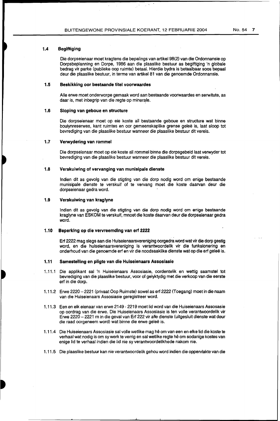#### **1.4 Begiftiging**

Die dorpseienaar moet kragtens die bepalings van artikel 98(2) van die Ordonnansie op Dorpsbeplanning en Dorpe, 1986 aan die plaaslike bestuur as begiftiging 'n globale bedrag vir parke (publieke oop ruimte) betaal. Hierdie bydra is betaalbaar soos bepaal deur die plaaslike bestuur, in terme van artikel 81 van die genoemde Ordonnansie.

#### **1.5 Beskikking oor bestaande titel voorwaardes**

Aile erwe moet onderworpe gemaak word aan bestaande voorwaardes en serwitute, as daar is, met inbegrip van die regte op minerale.

#### **1.6 Sloping van geboue en structure**

Die dorpseienaar moet op eie koste all bestaande geboue en structure wat binne boulynreserwes, kant ruimtes en oor gemeenskaplike grense galee is, laat sloop tot bevrediging van die plaaslike bestuur wanneer die plaaslike bestuur dit vereis.

#### **1.7 Verwydering van rommel**

Die dorpseienaar moet op eie koste all rom mel binne die dorpsgebeid laat verwyder tot bevrediging van die plaaslike bestuur wanneer die plaaslike bestuur dit vereis.

#### **1.8 Verskuiwing of vervanging van munisipale dienste**

Indien dit as gevolg van die stigting van die dorp nodig word om enige bestaande munisipale dienste te verskuif of te vervang moet die koste daarvan deur die dorpseienaar gedra word.

#### **1.9 Verskuiwing van kraglyne**

Indian dit as gevolg van die stigting van die dorp nodig word om enige bestaande kraglyne van ESKOM te verskuif, mnoet die koste daarvan deur die dorpseienaar gedra word.

#### **1.10 Beperking op die vervreemdlng van erf 2222**

Erf 2222 mag slegs aan die Huiseienaarsvereniging oorgedra word wat vir die dorp gestig word, en die huiseienaarsvereniging is verantwoordelik vir die funksionering en onderhoud van die genoemde erf en vir die noodsaaklike dienste wat op die erf galee is.

#### **1.11 Samestelling en pligte van die Huiseienaars Assosiasie**

- 1.11.1 Die applikant sal 'n Huiseienaars Assosiasie, oordentelik en wettig saamstel tot bevrediging van die plaaslike bestuur, voor of gelyktydig met die verkoop van die eerste erf in die dorp.
- 1.11.2 Erwe 2220-2221 (privaat Oop Ruimste) sowel as erf 2222 (Toegang) moet in die naam van die Huiseienaars Assosiasie geregistreer word.
- 1.11.3 Een en elk eienaar van erwe 2149- 2219 moet lid word van die Huiseienaars Assosasie op oordrag van die erwe. Die Huiseienaars Assosiasie is ten valle verantwoordelik vir Erwe 2220- 2221 rn in die geval van Erf 222 vir aile dienste (uitgesluit dienste wat deur die raad oorgeneem word) wat binne die erwe geleë is.
- 1.11.4 Die Huiseienaars Assosiasie sal volle wetlike mag hê om van een en elke lid die koste te verhaal wat nodig is om sy werk te verrig en sal wetlike regte he om sodanige kostes van enige lid te verhaal indien die lid nie sy verantwoordelikhede nakom nie.
- 1.11.5 Die plaaslike bestuur kan nie verantwoordelik gehou word indian die oppervlakte van die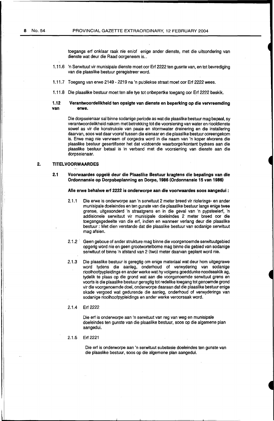toegangs erf onklaar raak nie en/of enige ander dienste, met die uitsondering van dienste wat deur die Raad oorgeneem is..

- 1.11.6 'n Serwituut vir munisipale dienste moet oar Erf 2222 ten gusnte van, en tot bevrediging van die plaaslike bestuur geregistreer word.
- 1.11.7 Toegang van erwe 2149- 2219 na 'n publiekse straat moet oor Erf 2222 wees.
- 1.11.8 Die plaaslike bestuur moet ten aile tye *tot* onbepertke toegang oor Erf 2222 beskik.

#### **1.12 Verantwoordelikheid ten opsigte van dienste en beperking op die vervreemding**  erwe.

Die dorpseienaar sal binne sodanige periode as wat die plaaslike bestuur mag bepaal, sy verantwoordelikheid nakom met betrekking tot die voorsiening van water en riooldienste sowel as vir die konstruksie van paaie en stormwater dreinering en die installering daarvan, soos wat daar vooraf tussen die eienaar en die plaaslike bestuur ooreengekom is. Erwe mag nie vervreem of oorgedra word in die naam van 'n koper alvorens die plaaslike bestuur gesertifiseer het dat voldoende waarborge/kontant bydraes aan die plaaslike bestuur betaal is in verband met die voorsiening van dienste aan die dorpseienaar.

#### **2. TITELVOORWAARDES**

#### 2.1 Voorwaardes opgelê deur die Plaaslike Bestuur kragtens die bepalings van die **Ordonnansie op Dorpsbeplanning en** IDorpe, **1986 (Ordonnansie 15 van 1986)**

#### **Aile erwe behalwe erf 2222 is onderwc•rpe aan die voorwaardes soos aangedui** :

- 2.1.1 Die erwe is onderworpe aan 'n serwituut 2 meter breed vir riolerings- en ander munisipale doeleindes en ten gunste van die plaaslike bestuur langs enige twee grense, uitgesonderd 'n straatgrens en in die geval van 'n pypsteelerf, 'n addisionele serwituut vir munisipale doeleindes 2 meter breed oor die toegangsgedeelte van die erf, indien en wanneer verlang deur die plaaslike bestuur : Met dien verstande dat die plaaslike bestuur van sodanige serwituut mag afsien.
- 2.1.2 Geen geboue of ander strukture mag binne die voorgenoemde serwituutgebied opgerig word nie en geen grootwortelbome mag binne die gebied van sodanige serwituut of binne 'n afstand van 2 (two) meter daarvan geplant word nie.
- 2.1.3 Die plaaslike bestuur is geregtig om enige materiaal wat deur hom uitgegrawe word tydens die aanleg, onderhoud of verwydering van sodanige rioolhoofpypleidings en ander werke wat hy volgens goeddunke noodsaaklik ag, tydelik te plaas op die grand wat aan die voorgenoemde serwituut grens en voorts is die plaaslike bestuur geregtig tot redelike toegang tot genoemde grond vir die voorgenoemde doel, onderworpe daaraan dat die plaaslike bestuur enige skade vergoed wat gedurende die aanleg, onderhoud of verwyderings van sodanige rioolhoofpypleidings en ander werke veroorsaak word.

#### 2.1.4 Erf 2222

Die erf is onderworpe aan 'n serwituut van reg van weg en munisipale doeleindes ten gunste van die plaaslike bestuur, soos op die algemene plan aangedui.

#### 2.1.5 Erf 2221

Die erf is onderworpe aan 'n serwituut substasie doeleindes ten gunste van die plaaslike bestuur, soos op die algemene plan aangedui.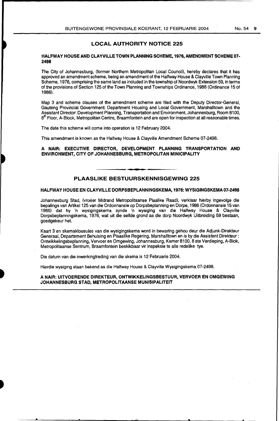#### LOCAL AUTHORITY NOTICE 225

#### HALFWAY HOUSE AND CLAYVILLE TOWN PLANNING SCHEME, 1976, AMENDMENT SCHEME 07- 2498

The City of Johannesburg, (former Northern Metropolitan Local Council), hereby declares that it has approved an amendment scheme, being an amendment of the Halfway House & Clayville Town Planning Scheme, 1976, comprising the same land as included in the township of Noordwyk Extension 59, in terms of the provisions of Section 125 of the Town Planning and Townships Ordinance, 1986 (Ordinance 15 of 1986).

Map 3 and scheme clauses of the amendment scheme are filed with the Deputy Director-General, Gauteng Provincial Government: Department Housing and Local Government, Marshalltown and the Assistant Director: Development Planning, Transportation and Environment, Johannesburg, Room 8100,  $8<sup>th</sup>$  Floor, A-Block, Metropolitan Centre, Braamfontein and are open for inspection at all reasonable times.

The date this scheme will come into operation is 12 February 2004.

This amendment is known as the Halfway House & Clayville Amendment Scheme 07-2498.

#### A NAIR: EXECUTIVE DIRECTOR, DEVELOPMENT PLANNING TRANSPORTATION AND ENVIRONMENT, CITY OF JOHANNESBURG, METROPOLITAN MINICIPALITY

#### PLAASLIKE BESTUURSKENNISGEWING 225

#### HALFWAY HOUSE EN CLAYVILLE DORPSBEPLANNINGSKEMA, 1976: WYSIGINGSKEMA07-2498

Johannesburg Stad, (vroeer Midrand Metropolitaanse Plaalike Raad), verklaar hierby ingevolge die bepalings van Artikel125 van die Ordonnansie op Dorpsbeplanning en Dorpe, 1986 (Ordonnansie 15 van 1986) dat hy 'n wysigingskema synde 'n wysiging van die Halfway House & Clayville Dorpsbeplanningskema, 1976, wat uit die selfde grand as die dorp Noordwyk Uitbreiding 59 bestaan, goedgekeur het.

Kaart 3 en skemaklousules van die wysigingskema word in bewaring gehou deur die Adjunk-Direkteur Generaal, Departement Behuising en Plaaslike Regering, Marshalltown en is by die Assistant Direkteur: Ontwikkelingsbeplanning, Vervoer en Omgewing, Johannesburg, Kamer 8100, 8 ste Verdieping, A-Biok, Metropolitaanse Sentrum, Braamfontein beskikbaar vir inspeksie te aile redelike tye.

Die datum van die inwerkingtreding van die skema is 12 Februarie 2004.

Hierdie wysiging staan bekend as die Halfway House & Clayville Wysigingskema 07-2498.

#### A NAIR: UITVOERENDE DIREKTEUR, ONTWIKKELINGSBESTUUR, VERVOER EN OMGEWING JOHANNESBURG STAD, METROPOLITAANSE MUNISIPALITEIT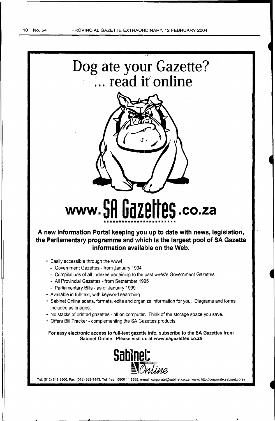$\mathbf i$   $\mathbf l$ 





# **www. 5H UdZEIIE5 .co.za** •••••••••••••••••••••••••

**A new information Portal keeping you up to date with news, legislation, the Parliamentary programme and which is the largest pool of SA Gazette information available on the Web.** 

- Easily accessible through the www!
	- Government Gazettes from January 1994
	- Compilations of all Indexes pertaining to the past week's Government Gazettes
	- All Provincial Gazettes -from September 1995
	- Parliamentary Bills as of January 1999
- Available in full-text, with keyword searching
- Sabinet Online scans, formats, edits and organize information for you. Diagrams and forms included as images.
- No stacks of printed gazettes- all on computer. Think of the storage space you save.
- Offers Bill Tracker- complementing the SA Gazettes products.

For easy electronic access to full-text gazette info, subscribe to the SA Gazettes from Sabinet Online. Please visit us at www.sagazettes.co.za



Tel: (012) 643-9500, Fax: (012) 663-3543, Toll free: 0800 11 8595, e-mail: corporate@sabinet.co.za, www: http://corporate.sabinet.co.za

..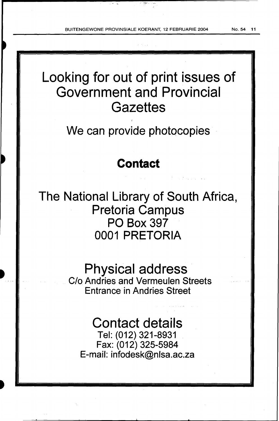2. **ga**n ku she

Looking for out of print issues of Government and Provincial **Gazettes** 

We can provide photocopies

## **Contact**

The National Library of South Africa, Pretoria Campus PO Box 397 0001 PRETORIA

## Physical address·

C/o Andries and Vermeulen Streets Entrance in Andries Street

## Contact details

Tel: (012) 321-8931 Fax: (012) 325-5984 E-mail: infodesk@nlsa.ac.za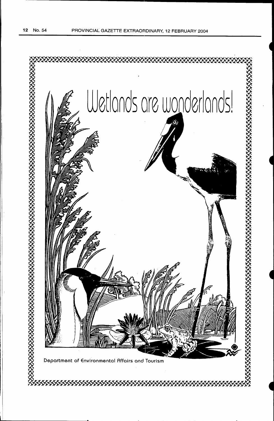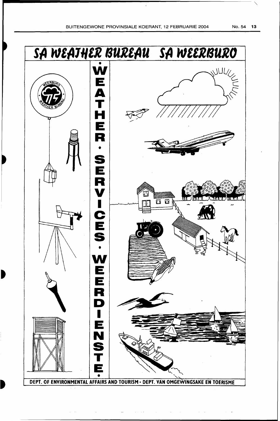$\frac{1}{4}$ 



DEPT. OF ENVIRONMENTAL AFFAIRS AND TOURISM · DEPT. VAN OMGEWINGSAKE EN TOERISME

 $\mathcal{L}(\mathbf{z})$  and  $\mathcal{L}(\mathbf{z})$  are  $\mathcal{L}(\mathbf{z})$  . The contribution of  $\mathcal{L}(\mathbf{z})$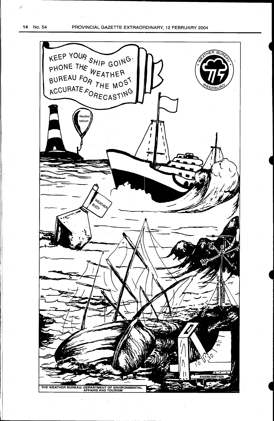*/* 

II i

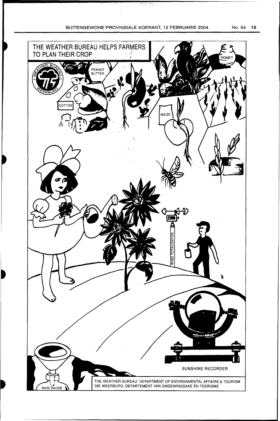$\frac{1}{2} \frac{1}{2}$ 

 $\frac{1}{\sqrt{2\pi}\left(\frac{1}{\sqrt{2}}\right)^{2}+2\left(\frac{1}{\sqrt{2}}\right)^{2}}\left(\frac{1}{\sqrt{2}}\right)^{2}}\left(\frac{1}{\sqrt{2}}\right)^{2}$